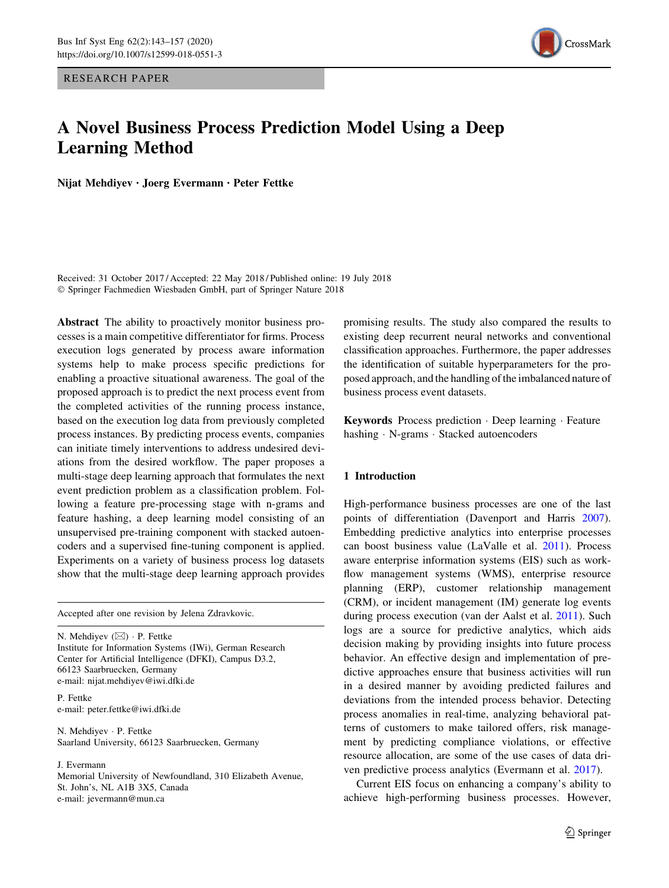<span id="page-0-0"></span>RESEARCH PAPER



# A Novel Business Process Prediction Model Using a Deep Learning Method

Nijat Mehdiyev • Joerg Evermann • Peter Fettke

Received: 31 October 2017 / Accepted: 22 May 2018 / Published online: 19 July 2018 - Springer Fachmedien Wiesbaden GmbH, part of Springer Nature 2018

Abstract The ability to proactively monitor business processes is a main competitive differentiator for firms. Process execution logs generated by process aware information systems help to make process specific predictions for enabling a proactive situational awareness. The goal of the proposed approach is to predict the next process event from the completed activities of the running process instance, based on the execution log data from previously completed process instances. By predicting process events, companies can initiate timely interventions to address undesired deviations from the desired workflow. The paper proposes a multi-stage deep learning approach that formulates the next event prediction problem as a classification problem. Following a feature pre-processing stage with n-grams and feature hashing, a deep learning model consisting of an unsupervised pre-training component with stacked autoencoders and a supervised fine-tuning component is applied. Experiments on a variety of business process log datasets show that the multi-stage deep learning approach provides

Accepted after one revision by Jelena Zdravkovic.

N. Mehdiyev (⊠) · P. Fettke Institute for Information Systems (IWi), German Research Center for Artificial Intelligence (DFKI), Campus D3.2, 66123 Saarbruecken, Germany e-mail: nijat.mehdiyev@iwi.dfki.de

P. Fettke e-mail: peter.fettke@iwi.dfki.de

N. Mehdiyev - P. Fettke Saarland University, 66123 Saarbruecken, Germany

# J. Evermann

Memorial University of Newfoundland, 310 Elizabeth Avenue, St. John's, NL A1B 3X5, Canada e-mail: jevermann@mun.ca

promising results. The study also compared the results to existing deep recurrent neural networks and conventional classification approaches. Furthermore, the paper addresses the identification of suitable hyperparameters for the proposed approach, and the handling of the imbalanced nature of business process event datasets.

Keywords Process prediction - Deep learning - Feature hashing - N-grams - Stacked autoencoders

# 1 Introduction

High-performance business processes are one of the last points of differentiation (Davenport and Harris [2007](#page-13-0)). Embedding predictive analytics into enterprise processes can boost business value (LaValle et al. [2011](#page-13-0)). Process aware enterprise information systems (EIS) such as workflow management systems (WMS), enterprise resource planning (ERP), customer relationship management (CRM), or incident management (IM) generate log events during process execution (van der Aalst et al. [2011](#page-14-0)). Such logs are a source for predictive analytics, which aids decision making by providing insights into future process behavior. An effective design and implementation of predictive approaches ensure that business activities will run in a desired manner by avoiding predicted failures and deviations from the intended process behavior. Detecting process anomalies in real-time, analyzing behavioral patterns of customers to make tailored offers, risk management by predicting compliance violations, or effective resource allocation, are some of the use cases of data driven predictive process analytics (Evermann et al. [2017](#page-13-0)).

Current EIS focus on enhancing a company's ability to achieve high-performing business processes. However,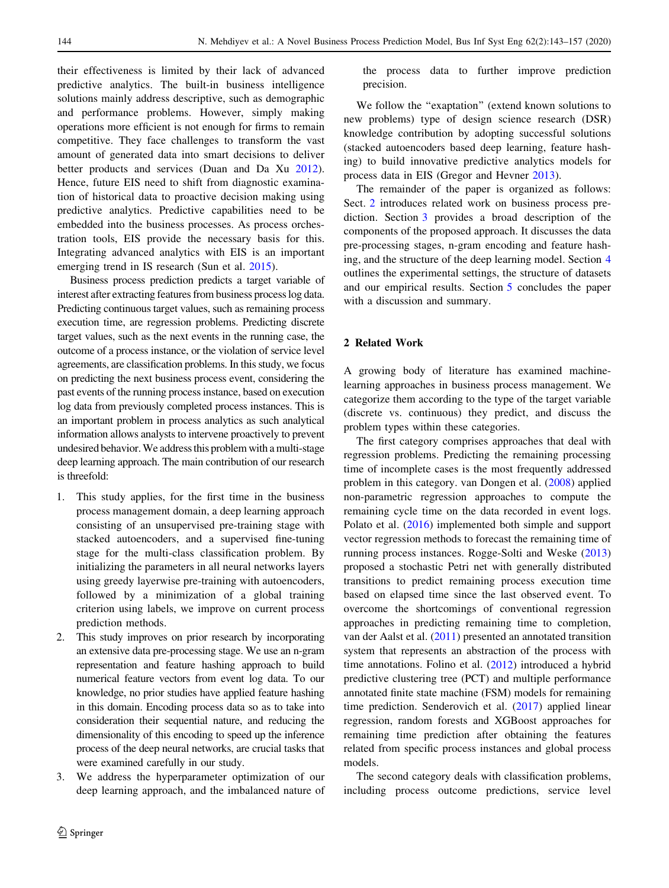their effectiveness is limited by their lack of advanced predictive analytics. The built-in business intelligence solutions mainly address descriptive, such as demographic and performance problems. However, simply making operations more efficient is not enough for firms to remain competitive. They face challenges to transform the vast amount of generated data into smart decisions to deliver better products and services (Duan and Da Xu [2012](#page-13-0)). Hence, future EIS need to shift from diagnostic examination of historical data to proactive decision making using predictive analytics. Predictive capabilities need to be embedded into the business processes. As process orchestration tools, EIS provide the necessary basis for this. Integrating advanced analytics with EIS is an important emerging trend in IS research (Sun et al. [2015\)](#page-13-0).

Business process prediction predicts a target variable of interest after extracting features from business process log data. Predicting continuous target values, such as remaining process execution time, are regression problems. Predicting discrete target values, such as the next events in the running case, the outcome of a process instance, or the violation of service level agreements, are classification problems. In this study, we focus on predicting the next business process event, considering the past events of the running process instance, based on execution log data from previously completed process instances. This is an important problem in process analytics as such analytical information allows analysts to intervene proactively to prevent undesired behavior.We address this problem with a multi-stage deep learning approach. The main contribution of our research is threefold:

- 1. This study applies, for the first time in the business process management domain, a deep learning approach consisting of an unsupervised pre-training stage with stacked autoencoders, and a supervised fine-tuning stage for the multi-class classification problem. By initializing the parameters in all neural networks layers using greedy layerwise pre-training with autoencoders, followed by a minimization of a global training criterion using labels, we improve on current process prediction methods.
- 2. This study improves on prior research by incorporating an extensive data pre-processing stage. We use an n-gram representation and feature hashing approach to build numerical feature vectors from event log data. To our knowledge, no prior studies have applied feature hashing in this domain. Encoding process data so as to take into consideration their sequential nature, and reducing the dimensionality of this encoding to speed up the inference process of the deep neural networks, are crucial tasks that were examined carefully in our study.
- 3. We address the hyperparameter optimization of our deep learning approach, and the imbalanced nature of

the process data to further improve prediction precision.

We follow the "exaptation" (extend known solutions to new problems) type of design science research (DSR) knowledge contribution by adopting successful solutions (stacked autoencoders based deep learning, feature hashing) to build innovative predictive analytics models for process data in EIS (Gregor and Hevner [2013](#page-13-0)).

The remainder of the paper is organized as follows: Sect. 2 introduces related work on business process prediction. Section [3](#page-2-0) provides a broad description of the components of the proposed approach. It discusses the data pre-processing stages, n-gram encoding and feature hashing, and the structure of the deep learning model. Section [4](#page-6-0) outlines the experimental settings, the structure of datasets and our empirical results. Section [5](#page-11-0) concludes the paper with a discussion and summary.

# 2 Related Work

A growing body of literature has examined machinelearning approaches in business process management. We categorize them according to the type of the target variable (discrete vs. continuous) they predict, and discuss the problem types within these categories.

The first category comprises approaches that deal with regression problems. Predicting the remaining processing time of incomplete cases is the most frequently addressed problem in this category. van Dongen et al. ([2008](#page-14-0)) applied non-parametric regression approaches to compute the remaining cycle time on the data recorded in event logs. Polato et al. [\(2016](#page-13-0)) implemented both simple and support vector regression methods to forecast the remaining time of running process instances. Rogge-Solti and Weske ([2013\)](#page-13-0) proposed a stochastic Petri net with generally distributed transitions to predict remaining process execution time based on elapsed time since the last observed event. To overcome the shortcomings of conventional regression approaches in predicting remaining time to completion, van der Aalst et al. ([2011\)](#page-14-0) presented an annotated transition system that represents an abstraction of the process with time annotations. Folino et al. ([2012\)](#page-13-0) introduced a hybrid predictive clustering tree (PCT) and multiple performance annotated finite state machine (FSM) models for remaining time prediction. Senderovich et al. ([2017\)](#page-13-0) applied linear regression, random forests and XGBoost approaches for remaining time prediction after obtaining the features related from specific process instances and global process models.

The second category deals with classification problems, including process outcome predictions, service level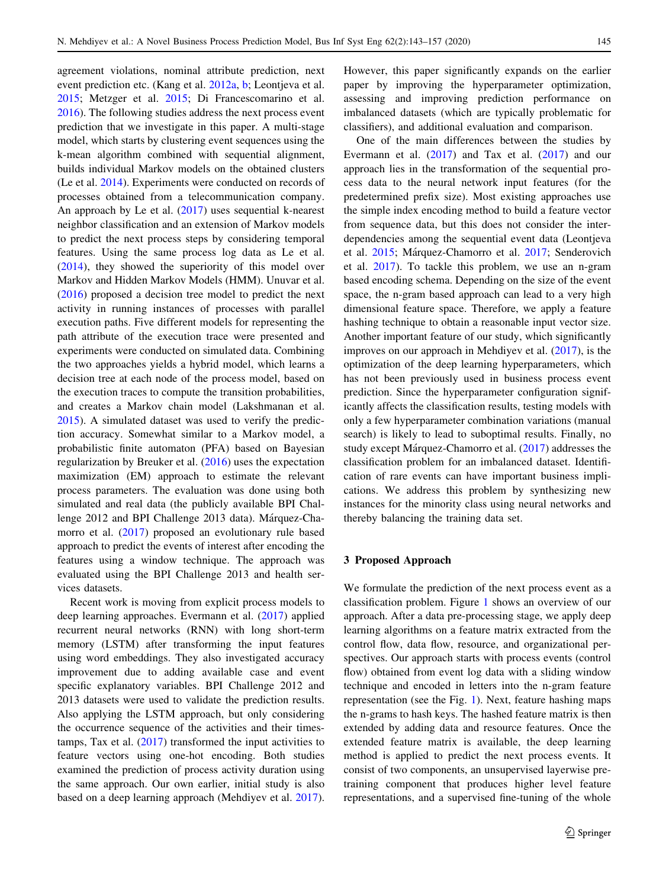<span id="page-2-0"></span>agreement violations, nominal attribute prediction, next event prediction etc. (Kang et al. [2012a,](#page-13-0) [b;](#page-13-0) Leontjeva et al. [2015;](#page-13-0) Metzger et al. [2015](#page-13-0); Di Francescomarino et al. [2016\)](#page-13-0). The following studies address the next process event prediction that we investigate in this paper. A multi-stage model, which starts by clustering event sequences using the k-mean algorithm combined with sequential alignment, builds individual Markov models on the obtained clusters (Le et al. [2014](#page-13-0)). Experiments were conducted on records of processes obtained from a telecommunication company. An approach by Le et al. [\(2017](#page-13-0)) uses sequential k-nearest neighbor classification and an extension of Markov models to predict the next process steps by considering temporal features. Using the same process log data as Le et al. [\(2014](#page-13-0)), they showed the superiority of this model over Markov and Hidden Markov Models (HMM). Unuvar et al. [\(2016](#page-14-0)) proposed a decision tree model to predict the next activity in running instances of processes with parallel execution paths. Five different models for representing the path attribute of the execution trace were presented and experiments were conducted on simulated data. Combining the two approaches yields a hybrid model, which learns a decision tree at each node of the process model, based on the execution traces to compute the transition probabilities, and creates a Markov chain model (Lakshmanan et al. [2015\)](#page-13-0). A simulated dataset was used to verify the prediction accuracy. Somewhat similar to a Markov model, a probabilistic finite automaton (PFA) based on Bayesian regularization by Breuker et al. [\(2016](#page-12-0)) uses the expectation maximization (EM) approach to estimate the relevant process parameters. The evaluation was done using both simulated and real data (the publicly available BPI Challenge 2012 and BPI Challenge 2013 data). Márquez-Chamorro et al. ([2017\)](#page-13-0) proposed an evolutionary rule based approach to predict the events of interest after encoding the features using a window technique. The approach was evaluated using the BPI Challenge 2013 and health services datasets.

Recent work is moving from explicit process models to deep learning approaches. Evermann et al. ([2017\)](#page-13-0) applied recurrent neural networks (RNN) with long short-term memory (LSTM) after transforming the input features using word embeddings. They also investigated accuracy improvement due to adding available case and event specific explanatory variables. BPI Challenge 2012 and 2013 datasets were used to validate the prediction results. Also applying the LSTM approach, but only considering the occurrence sequence of the activities and their timestamps, Tax et al. [\(2017](#page-14-0)) transformed the input activities to feature vectors using one-hot encoding. Both studies examined the prediction of process activity duration using the same approach. Our own earlier, initial study is also based on a deep learning approach (Mehdiyev et al. [2017](#page-13-0)). However, this paper significantly expands on the earlier paper by improving the hyperparameter optimization, assessing and improving prediction performance on imbalanced datasets (which are typically problematic for classifiers), and additional evaluation and comparison.

One of the main differences between the studies by Evermann et al.  $(2017)$  $(2017)$  and Tax et al.  $(2017)$  $(2017)$  and our approach lies in the transformation of the sequential process data to the neural network input features (for the predetermined prefix size). Most existing approaches use the simple index encoding method to build a feature vector from sequence data, but this does not consider the interdependencies among the sequential event data (Leontjeva et al. [2015](#page-13-0); Márquez-Chamorro et al. [2017](#page-13-0); Senderovich et al. [2017](#page-13-0)). To tackle this problem, we use an n-gram based encoding schema. Depending on the size of the event space, the n-gram based approach can lead to a very high dimensional feature space. Therefore, we apply a feature hashing technique to obtain a reasonable input vector size. Another important feature of our study, which significantly improves on our approach in Mehdiyev et al. [\(2017](#page-13-0)), is the optimization of the deep learning hyperparameters, which has not been previously used in business process event prediction. Since the hyperparameter configuration significantly affects the classification results, testing models with only a few hyperparameter combination variations (manual search) is likely to lead to suboptimal results. Finally, no study except Márquez-Chamorro et al. ([2017\)](#page-13-0) addresses the classification problem for an imbalanced dataset. Identification of rare events can have important business implications. We address this problem by synthesizing new instances for the minority class using neural networks and thereby balancing the training data set.

## 3 Proposed Approach

We formulate the prediction of the next process event as a classification problem. Figure [1](#page-3-0) shows an overview of our approach. After a data pre-processing stage, we apply deep learning algorithms on a feature matrix extracted from the control flow, data flow, resource, and organizational perspectives. Our approach starts with process events (control flow) obtained from event log data with a sliding window technique and encoded in letters into the n-gram feature representation (see the Fig. [1](#page-3-0)). Next, feature hashing maps the n-grams to hash keys. The hashed feature matrix is then extended by adding data and resource features. Once the extended feature matrix is available, the deep learning method is applied to predict the next process events. It consist of two components, an unsupervised layerwise pretraining component that produces higher level feature representations, and a supervised fine-tuning of the whole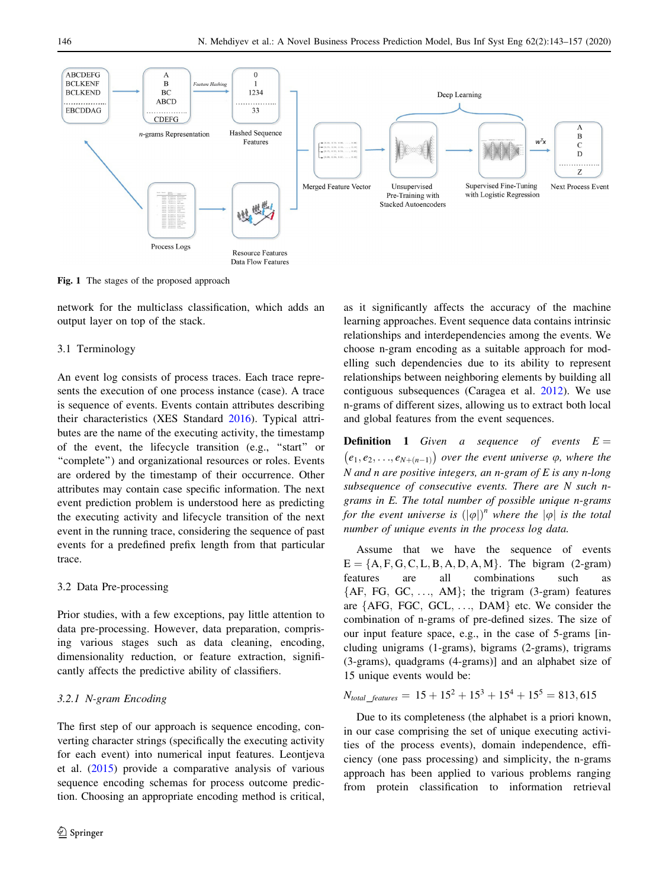<span id="page-3-0"></span>

Fig. 1 The stages of the proposed approach

network for the multiclass classification, which adds an output layer on top of the stack.

## 3.1 Terminology

An event log consists of process traces. Each trace represents the execution of one process instance (case). A trace is sequence of events. Events contain attributes describing their characteristics (XES Standard [2016\)](#page-14-0). Typical attributes are the name of the executing activity, the timestamp of the event, the lifecycle transition (e.g., ''start'' or ''complete'') and organizational resources or roles. Events are ordered by the timestamp of their occurrence. Other attributes may contain case specific information. The next event prediction problem is understood here as predicting the executing activity and lifecycle transition of the next event in the running trace, considering the sequence of past events for a predefined prefix length from that particular trace.

# 3.2 Data Pre-processing

Prior studies, with a few exceptions, pay little attention to data pre-processing. However, data preparation, comprising various stages such as data cleaning, encoding, dimensionality reduction, or feature extraction, significantly affects the predictive ability of classifiers.

# 3.2.1 N-gram Encoding

The first step of our approach is sequence encoding, converting character strings (specifically the executing activity for each event) into numerical input features. Leontjeva et al. [\(2015](#page-13-0)) provide a comparative analysis of various sequence encoding schemas for process outcome prediction. Choosing an appropriate encoding method is critical,

as it significantly affects the accuracy of the machine learning approaches. Event sequence data contains intrinsic relationships and interdependencies among the events. We choose n-gram encoding as a suitable approach for modelling such dependencies due to its ability to represent relationships between neighboring elements by building all contiguous subsequences (Caragea et al. [2012\)](#page-13-0). We use n-grams of different sizes, allowing us to extract both local and global features from the event sequences.

**Definition 1** Given a sequence of events  $E =$  $(e_1, e_2, \ldots, e_{N+(n-1)})$  over the event universe  $\varphi$ , where the N and n are positive integers, an n-gram of  $E$  is any n-long subsequence of consecutive events. There are N such ngrams in E. The total number of possible unique n-grams for the event universe is  $(|\varphi|)^n$  where the  $|\varphi|$  is the total number of unique events in the process log data.

Assume that we have the sequence of events  $E = \{A, F, G, C, L, B, A, D, A, M\}$ . The bigram (2-gram) features are all combinations such as  ${AF, FG, GC, ..., AM}$ ; the trigram (3-gram) features are  ${AFG, FGC, GCL, ..., DAM}$  etc. We consider the combination of n-grams of pre-defined sizes. The size of our input feature space, e.g., in the case of 5-grams [including unigrams (1-grams), bigrams (2-grams), trigrams (3-grams), quadgrams (4-grams)] and an alphabet size of 15 unique events would be:

 $N_{total\_features} = 15 + 15^2 + 15^3 + 15^4 + 15^5 = 813,615$ 

Due to its completeness (the alphabet is a priori known, in our case comprising the set of unique executing activities of the process events), domain independence, efficiency (one pass processing) and simplicity, the n-grams approach has been applied to various problems ranging from protein classification to information retrieval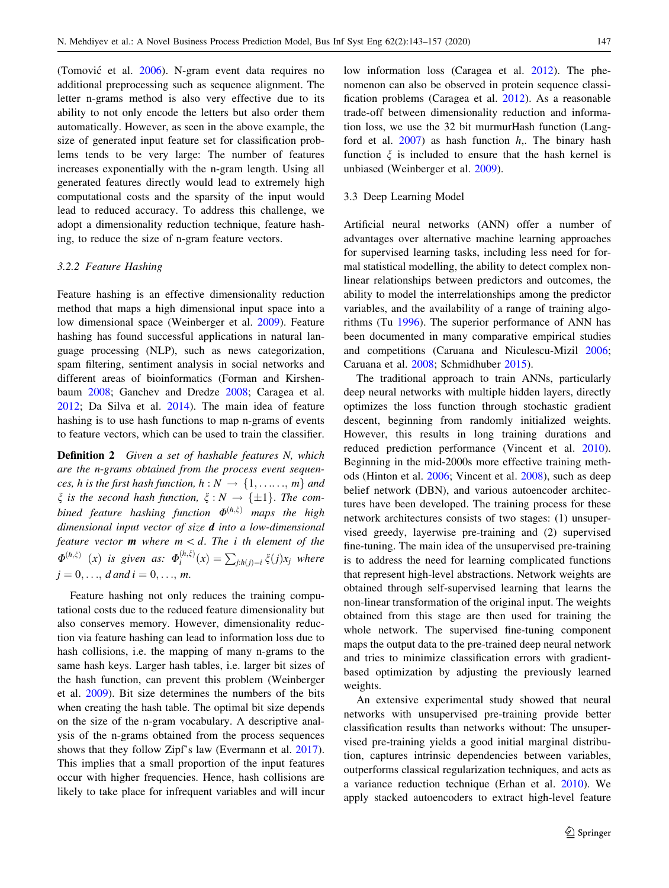(Tomovic´ et al. [2006](#page-14-0)). N-gram event data requires no additional preprocessing such as sequence alignment. The letter n-grams method is also very effective due to its ability to not only encode the letters but also order them automatically. However, as seen in the above example, the size of generated input feature set for classification problems tends to be very large: The number of features increases exponentially with the n-gram length. Using all generated features directly would lead to extremely high computational costs and the sparsity of the input would lead to reduced accuracy. To address this challenge, we adopt a dimensionality reduction technique, feature hashing, to reduce the size of n-gram feature vectors.

## 3.2.2 Feature Hashing

Feature hashing is an effective dimensionality reduction method that maps a high dimensional input space into a low dimensional space (Weinberger et al. [2009](#page-14-0)). Feature hashing has found successful applications in natural language processing (NLP), such as news categorization, spam filtering, sentiment analysis in social networks and different areas of bioinformatics (Forman and Kirshenbaum [2008](#page-13-0); Ganchev and Dredze [2008;](#page-13-0) Caragea et al. [2012;](#page-13-0) Da Silva et al. [2014\)](#page-13-0). The main idea of feature hashing is to use hash functions to map n-grams of events to feature vectors, which can be used to train the classifier.

**Definition 2** Given a set of hashable features N, which are the n-grams obtained from the process event sequences, h is the first hash function,  $h : N \rightarrow \{1, \ldots, m\}$  and  $\xi$  is the second hash function,  $\xi : N \rightarrow {\pm 1}$ . The combined feature hashing function  $\Phi^{(h,\xi)}$  maps the high dimensional input vector of size d into a low-dimensional feature vector **m** where  $m < d$ . The i th element of the  $\Phi^{(h,\xi)}$  (x) is given as:  $\Phi_i^{(h,\xi)}(x) = \sum_{j:h(j)=i} \xi(j)x_j$  where  $j = 0, \ldots, d$  and  $i = 0, \ldots, m$ .

Feature hashing not only reduces the training computational costs due to the reduced feature dimensionality but also conserves memory. However, dimensionality reduction via feature hashing can lead to information loss due to hash collisions, i.e. the mapping of many n-grams to the same hash keys. Larger hash tables, i.e. larger bit sizes of the hash function, can prevent this problem (Weinberger et al. [2009](#page-14-0)). Bit size determines the numbers of the bits when creating the hash table. The optimal bit size depends on the size of the n-gram vocabulary. A descriptive analysis of the n-grams obtained from the process sequences shows that they follow Zipf's law (Evermann et al. [2017](#page-13-0)). This implies that a small proportion of the input features occur with higher frequencies. Hence, hash collisions are likely to take place for infrequent variables and will incur low information loss (Caragea et al. [2012](#page-13-0)). The phenomenon can also be observed in protein sequence classification problems (Caragea et al. [2012\)](#page-13-0). As a reasonable trade-off between dimensionality reduction and information loss, we use the 32 bit murmurHash function (Langford et al.  $2007$ ) as hash function h,. The binary hash function  $\xi$  is included to ensure that the hash kernel is unbiased (Weinberger et al. [2009\)](#page-14-0).

#### 3.3 Deep Learning Model

Artificial neural networks (ANN) offer a number of advantages over alternative machine learning approaches for supervised learning tasks, including less need for formal statistical modelling, the ability to detect complex nonlinear relationships between predictors and outcomes, the ability to model the interrelationships among the predictor variables, and the availability of a range of training algorithms (Tu [1996\)](#page-14-0). The superior performance of ANN has been documented in many comparative empirical studies and competitions (Caruana and Niculescu-Mizil [2006](#page-13-0); Caruana et al. [2008](#page-13-0); Schmidhuber [2015](#page-13-0)).

The traditional approach to train ANNs, particularly deep neural networks with multiple hidden layers, directly optimizes the loss function through stochastic gradient descent, beginning from randomly initialized weights. However, this results in long training durations and reduced prediction performance (Vincent et al. [2010](#page-14-0)). Beginning in the mid-2000s more effective training methods (Hinton et al. [2006](#page-13-0); Vincent et al. [2008\)](#page-14-0), such as deep belief network (DBN), and various autoencoder architectures have been developed. The training process for these network architectures consists of two stages: (1) unsupervised greedy, layerwise pre-training and (2) supervised fine-tuning. The main idea of the unsupervised pre-training is to address the need for learning complicated functions that represent high-level abstractions. Network weights are obtained through self-supervised learning that learns the non-linear transformation of the original input. The weights obtained from this stage are then used for training the whole network. The supervised fine-tuning component maps the output data to the pre-trained deep neural network and tries to minimize classification errors with gradientbased optimization by adjusting the previously learned weights.

An extensive experimental study showed that neural networks with unsupervised pre-training provide better classification results than networks without: The unsupervised pre-training yields a good initial marginal distribution, captures intrinsic dependencies between variables, outperforms classical regularization techniques, and acts as a variance reduction technique (Erhan et al. [2010\)](#page-13-0). We apply stacked autoencoders to extract high-level feature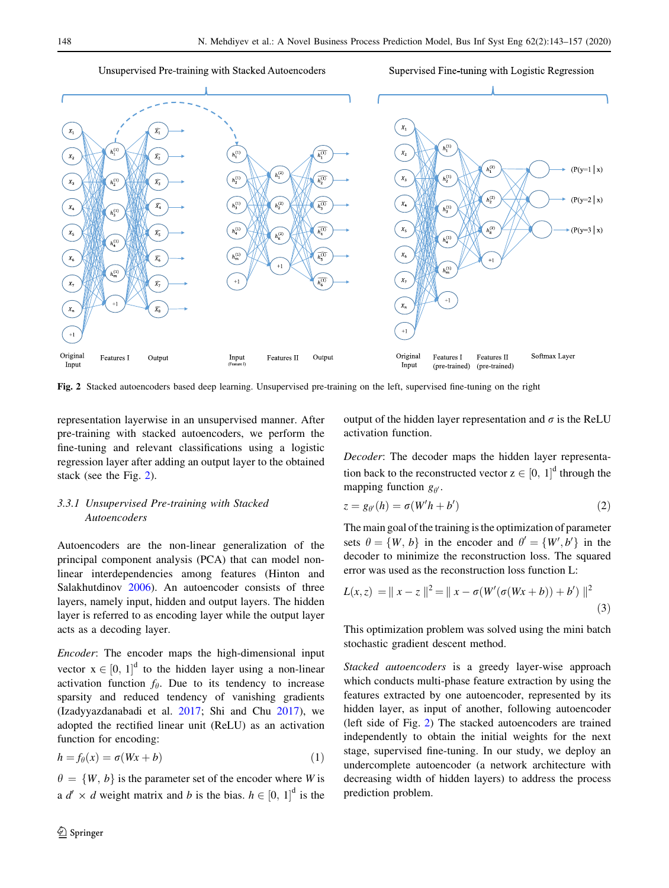#### Unsupervised Pre-training with Stacked Autoencoders

Supervised Fine-tuning with Logistic Regression

<span id="page-5-0"></span>

Fig. 2 Stacked autoencoders based deep learning. Unsupervised pre-training on the left, supervised fine-tuning on the right

representation layerwise in an unsupervised manner. After pre-training with stacked autoencoders, we perform the fine-tuning and relevant classifications using a logistic regression layer after adding an output layer to the obtained stack (see the Fig. 2).

# 3.3.1 Unsupervised Pre-training with Stacked Autoencoders

Autoencoders are the non-linear generalization of the principal component analysis (PCA) that can model nonlinear interdependencies among features (Hinton and Salakhutdinov [2006](#page-13-0)). An autoencoder consists of three layers, namely input, hidden and output layers. The hidden layer is referred to as encoding layer while the output layer acts as a decoding layer.

Encoder: The encoder maps the high-dimensional input vector  $x \in [0, 1]^d$  to the hidden layer using a non-linear activation function  $f_\theta$ . Due to its tendency to increase sparsity and reduced tendency of vanishing gradients (Izadyyazdanabadi et al. [2017](#page-13-0); Shi and Chu [2017\)](#page-13-0), we adopted the rectified linear unit (ReLU) as an activation function for encoding:

$$
h = f_{\theta}(x) = \sigma(Wx + b)
$$
\n<sup>(1)</sup>

 $\theta = \{W, b\}$  is the parameter set of the encoder where W is a  $d' \times d$  weight matrix and b is the bias.  $h \in [0, 1]^d$  is the output of the hidden layer representation and  $\sigma$  is the ReLU activation function.

Decoder: The decoder maps the hidden layer representation back to the reconstructed vector  $z \in [0, 1]^d$  through the mapping function  $g_{\theta}$ .

$$
z = g_{\theta'}(h) = \sigma(W'h + b')
$$
 (2)

The main goal of the training is the optimization of parameter sets  $\theta = \{W, b\}$  in the encoder and  $\theta' = \{W', b'\}$  in the decoder to minimize the reconstruction loss. The squared error was used as the reconstruction loss function L:

$$
L(x, z) = || x - z ||2 = || x - \sigma(W'(\sigma(Wx + b)) + b') ||2
$$
\n(3)

This optimization problem was solved using the mini batch stochastic gradient descent method.

Stacked autoencoders is a greedy layer-wise approach which conducts multi-phase feature extraction by using the features extracted by one autoencoder, represented by its hidden layer, as input of another, following autoencoder (left side of Fig. 2) The stacked autoencoders are trained independently to obtain the initial weights for the next stage, supervised fine-tuning. In our study, we deploy an undercomplete autoencoder (a network architecture with decreasing width of hidden layers) to address the process prediction problem.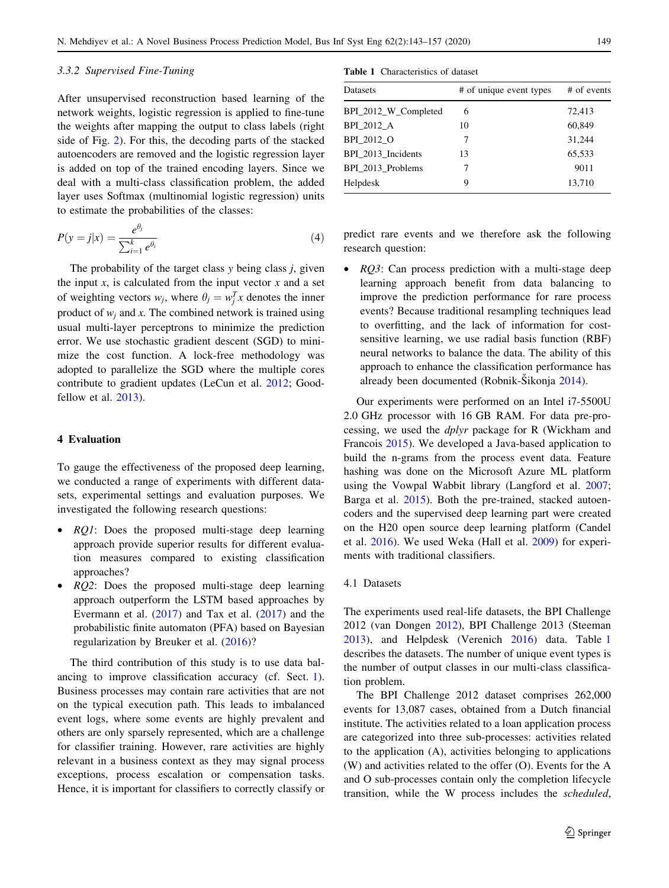#### <span id="page-6-0"></span>3.3.2 Supervised Fine-Tuning

After unsupervised reconstruction based learning of the network weights, logistic regression is applied to fine-tune the weights after mapping the output to class labels (right side of Fig. [2](#page-5-0)). For this, the decoding parts of the stacked autoencoders are removed and the logistic regression layer is added on top of the trained encoding layers. Since we deal with a multi-class classification problem, the added layer uses Softmax (multinomial logistic regression) units to estimate the probabilities of the classes:

$$
P(y = j|x) = \frac{e^{\theta_j}}{\sum_{i=1}^{k} e^{\theta_i}}
$$
 (4)

The probability of the target class  $y$  being class  $j$ , given the input  $x$ , is calculated from the input vector  $x$  and a set of weighting vectors  $w_j$ , where  $\theta_j = w_j^T x$  denotes the inner product of  $w_i$  and x. The combined network is trained using usual multi-layer perceptrons to minimize the prediction error. We use stochastic gradient descent (SGD) to minimize the cost function. A lock-free methodology was adopted to parallelize the SGD where the multiple cores contribute to gradient updates (LeCun et al. [2012](#page-13-0); Goodfellow et al. [2013\)](#page-13-0).

# 4 Evaluation

To gauge the effectiveness of the proposed deep learning, we conducted a range of experiments with different datasets, experimental settings and evaluation purposes. We investigated the following research questions:

- RQ1: Does the proposed multi-stage deep learning approach provide superior results for different evaluation measures compared to existing classification approaches?
- RQ2: Does the proposed multi-stage deep learning approach outperform the LSTM based approaches by Evermann et al.  $(2017)$  $(2017)$  and Tax et al.  $(2017)$  $(2017)$  and the probabilistic finite automaton (PFA) based on Bayesian regularization by Breuker et al. ([2016](#page-12-0))?

The third contribution of this study is to use data balancing to improve classification accuracy (cf. Sect. [1](#page-0-0)). Business processes may contain rare activities that are not on the typical execution path. This leads to imbalanced event logs, where some events are highly prevalent and others are only sparsely represented, which are a challenge for classifier training. However, rare activities are highly relevant in a business context as they may signal process exceptions, process escalation or compensation tasks. Hence, it is important for classifiers to correctly classify or

Table 1 Characteristics of dataset

| # of unique event types | # of events |
|-------------------------|-------------|
| 6                       | 72,413      |
| 10                      | 60,849      |
| 7                       | 31,244      |
| 13                      | 65,533      |
|                         | 9011        |
| 9                       | 13,710      |
|                         |             |

predict rare events and we therefore ask the following research question:

 $RQ3$ : Can process prediction with a multi-stage deep learning approach benefit from data balancing to improve the prediction performance for rare process events? Because traditional resampling techniques lead to overfitting, and the lack of information for costsensitive learning, we use radial basis function (RBF) neural networks to balance the data. The ability of this approach to enhance the classification performance has already been documented (Robnik-Šikonja [2014](#page-13-0)).

Our experiments were performed on an Intel i7-5500U 2.0 GHz processor with 16 GB RAM. For data pre-processing, we used the dplyr package for R (Wickham and Francois [2015\)](#page-14-0). We developed a Java-based application to build the n-grams from the process event data. Feature hashing was done on the Microsoft Azure ML platform using the Vowpal Wabbit library (Langford et al. [2007](#page-13-0); Barga et al. [2015](#page-12-0)). Both the pre-trained, stacked autoencoders and the supervised deep learning part were created on the H20 open source deep learning platform (Candel et al. [2016](#page-12-0)). We used Weka (Hall et al. [2009\)](#page-13-0) for experiments with traditional classifiers.

## 4.1 Datasets

The experiments used real-life datasets, the BPI Challenge 2012 (van Dongen [2012\)](#page-14-0), BPI Challenge 2013 (Steeman [2013](#page-13-0)), and Helpdesk (Verenich [2016](#page-14-0)) data. Table 1 describes the datasets. The number of unique event types is the number of output classes in our multi-class classification problem.

The BPI Challenge 2012 dataset comprises 262,000 events for 13,087 cases, obtained from a Dutch financial institute. The activities related to a loan application process are categorized into three sub-processes: activities related to the application (A), activities belonging to applications (W) and activities related to the offer (O). Events for the A and O sub-processes contain only the completion lifecycle transition, while the W process includes the scheduled,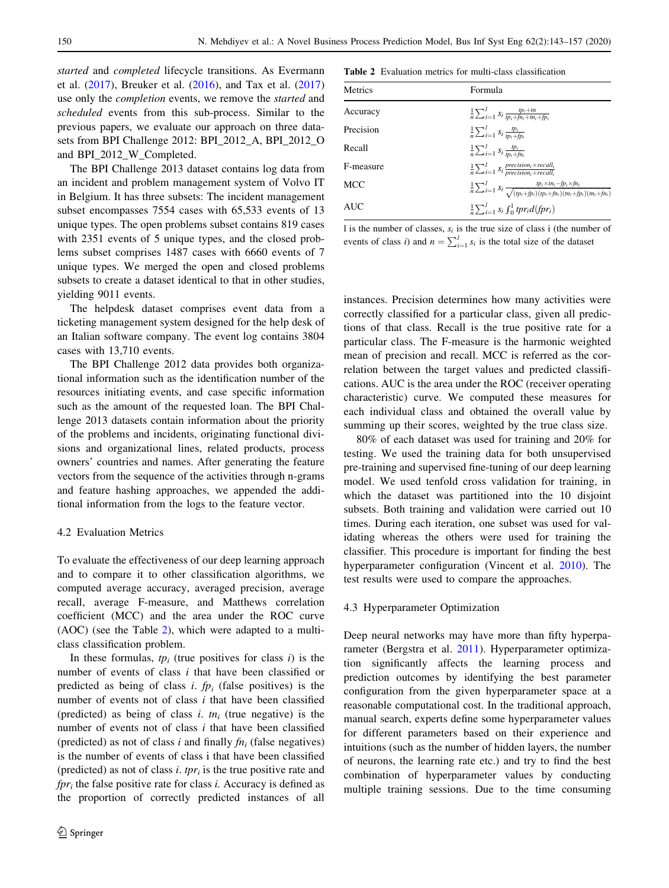started and *completed* lifecycle transitions. As Evermann et al. ([2017\)](#page-13-0), Breuker et al. ([2016\)](#page-12-0), and Tax et al. ([2017\)](#page-14-0) use only the *completion* events, we remove the *started* and scheduled events from this sub-process. Similar to the previous papers, we evaluate our approach on three datasets from BPI Challenge 2012: BPI\_2012\_A, BPI\_2012\_O and BPI\_2012\_W\_Completed.

The BPI Challenge 2013 dataset contains log data from an incident and problem management system of Volvo IT in Belgium. It has three subsets: The incident management subset encompasses 7554 cases with 65,533 events of 13 unique types. The open problems subset contains 819 cases with 2351 events of 5 unique types, and the closed problems subset comprises 1487 cases with 6660 events of 7 unique types. We merged the open and closed problems subsets to create a dataset identical to that in other studies, yielding 9011 events.

The helpdesk dataset comprises event data from a ticketing management system designed for the help desk of an Italian software company. The event log contains 3804 cases with 13,710 events.

The BPI Challenge 2012 data provides both organizational information such as the identification number of the resources initiating events, and case specific information such as the amount of the requested loan. The BPI Challenge 2013 datasets contain information about the priority of the problems and incidents, originating functional divisions and organizational lines, related products, process owners' countries and names. After generating the feature vectors from the sequence of the activities through n-grams and feature hashing approaches, we appended the additional information from the logs to the feature vector.

## 4.2 Evaluation Metrics

To evaluate the effectiveness of our deep learning approach and to compare it to other classification algorithms, we computed average accuracy, averaged precision, average recall, average F-measure, and Matthews correlation coefficient (MCC) and the area under the ROC curve (AOC) (see the Table 2), which were adapted to a multiclass classification problem.

In these formulas,  $tp_i$  (true positives for class i) is the number of events of class  $i$  that have been classified or predicted as being of class i.  $fp_i$  (false positives) is the number of events not of class  $i$  that have been classified (predicted) as being of class i.  $tn_i$  (true negative) is the number of events not of class  $i$  that have been classified (predicted) as not of class i and finally  $fn_i$  (false negatives) is the number of events of class i that have been classified (predicted) as not of class *i. tpr<sub>i</sub>* is the true positive rate and  $fpr_i$  the false positive rate for class *i*. Accuracy is defined as the proportion of correctly predicted instances of all

Table 2 Evaluation metrics for multi-class classification

| Metrics    | Formula                                                                                                                                                  |
|------------|----------------------------------------------------------------------------------------------------------------------------------------------------------|
| Accuracy   | $\frac{1}{n}\sum_{i=1}^{l} S_i \frac{tp_i+m}{tn_i+fn_i+tn_i+fn_i}$                                                                                       |
| Precision  | $\frac{1}{n}\sum_{i=1}^l S_i \frac{tp_i}{tn_i + fn_i}$                                                                                                   |
| Recall     | $\frac{1}{n}\sum_{i=1}^l s_i \frac{tp_i}{tp_i+fn_i}$                                                                                                     |
| F-measure  | $\frac{1}{n}\sum_{i=1}^{l} S_i \frac{precision_i \times recall_i}{precision_i + recall_i}$                                                               |
| <b>MCC</b> | $\frac{1}{n}\sum\nolimits_{i=1}^{l}S_{i}\frac{tp_{i}\times m_{i}-fp_{i}\times p_{i}}{\sqrt{(tp_{i}+fp_{i})(tp_{i}+fn_{i})(m_{i}+fp_{i})(m_{i}+fn_{i})}}$ |
| <b>AUC</b> | $\frac{1}{n} \sum_{i=1}^{l} s_i \int_0^1 tpr_i d(fpr_i)$                                                                                                 |

l is the number of classes,  $s_i$  is the true size of class i (the number of events of class i) and  $n = \sum_{i=1}^{l} s_i$  is the total size of the dataset

instances. Precision determines how many activities were correctly classified for a particular class, given all predictions of that class. Recall is the true positive rate for a particular class. The F-measure is the harmonic weighted mean of precision and recall. MCC is referred as the correlation between the target values and predicted classifications. AUC is the area under the ROC (receiver operating characteristic) curve. We computed these measures for each individual class and obtained the overall value by summing up their scores, weighted by the true class size.

80% of each dataset was used for training and 20% for testing. We used the training data for both unsupervised pre-training and supervised fine-tuning of our deep learning model. We used tenfold cross validation for training, in which the dataset was partitioned into the 10 disjoint subsets. Both training and validation were carried out 10 times. During each iteration, one subset was used for validating whereas the others were used for training the classifier. This procedure is important for finding the best hyperparameter configuration (Vincent et al. [2010](#page-14-0)). The test results were used to compare the approaches.

#### 4.3 Hyperparameter Optimization

Deep neural networks may have more than fifty hyperparameter (Bergstra et al. [2011\)](#page-12-0). Hyperparameter optimization significantly affects the learning process and prediction outcomes by identifying the best parameter configuration from the given hyperparameter space at a reasonable computational cost. In the traditional approach, manual search, experts define some hyperparameter values for different parameters based on their experience and intuitions (such as the number of hidden layers, the number of neurons, the learning rate etc.) and try to find the best combination of hyperparameter values by conducting multiple training sessions. Due to the time consuming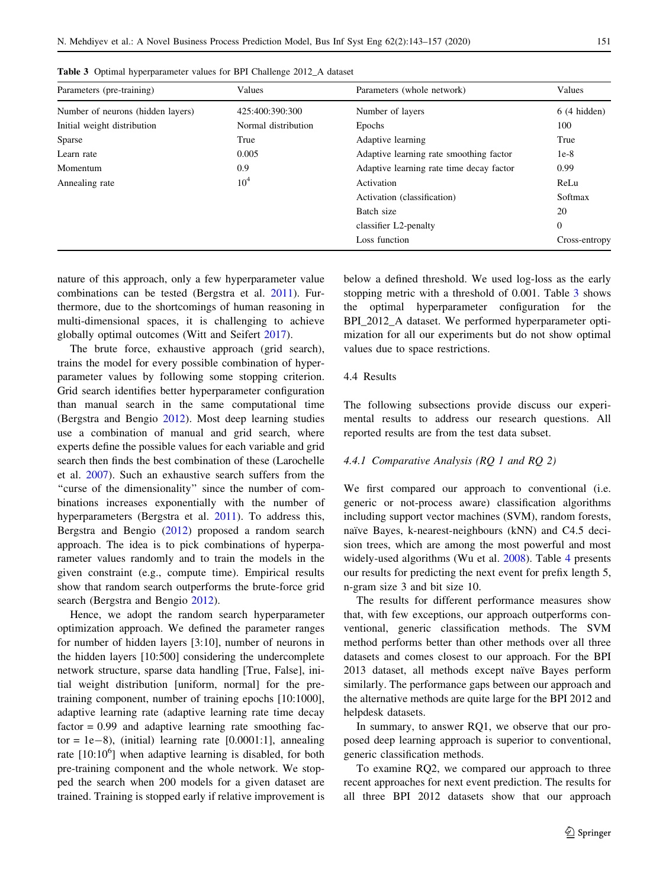| Parameters (pre-training)         | Values              | Parameters (whole network)               | Values        |
|-----------------------------------|---------------------|------------------------------------------|---------------|
| Number of neurons (hidden layers) | 425:400:390:300     | Number of layers                         | 6(4 hidden)   |
| Initial weight distribution       | Normal distribution | Epochs                                   | 100           |
| Sparse                            | True                | Adaptive learning                        | True          |
| Learn rate                        | 0.005               | Adaptive learning rate smoothing factor  | $1e-8$        |
| Momentum                          | 0.9                 | Adaptive learning rate time decay factor | 0.99          |
| Annealing rate                    | 10 <sup>4</sup>     | Activation                               | ReLu          |
|                                   |                     | Activation (classification)              | Softmax       |
|                                   |                     | Batch size                               | 20            |
|                                   |                     | classifier L2-penalty                    | $\mathbf{0}$  |
|                                   |                     | Loss function                            | Cross-entropy |

Table 3 Optimal hyperparameter values for BPI Challenge 2012\_A dataset

nature of this approach, only a few hyperparameter value combinations can be tested (Bergstra et al. [2011](#page-12-0)). Furthermore, due to the shortcomings of human reasoning in multi-dimensional spaces, it is challenging to achieve globally optimal outcomes (Witt and Seifert [2017](#page-14-0)).

The brute force, exhaustive approach (grid search), trains the model for every possible combination of hyperparameter values by following some stopping criterion. Grid search identifies better hyperparameter configuration than manual search in the same computational time (Bergstra and Bengio [2012](#page-12-0)). Most deep learning studies use a combination of manual and grid search, where experts define the possible values for each variable and grid search then finds the best combination of these (Larochelle et al. [2007\)](#page-13-0). Such an exhaustive search suffers from the "curse of the dimensionality" since the number of combinations increases exponentially with the number of hyperparameters (Bergstra et al. [2011](#page-12-0)). To address this, Bergstra and Bengio [\(2012](#page-12-0)) proposed a random search approach. The idea is to pick combinations of hyperparameter values randomly and to train the models in the given constraint (e.g., compute time). Empirical results show that random search outperforms the brute-force grid search (Bergstra and Bengio [2012](#page-12-0)).

Hence, we adopt the random search hyperparameter optimization approach. We defined the parameter ranges for number of hidden layers [3:10], number of neurons in the hidden layers [10:500] considering the undercomplete network structure, sparse data handling [True, False], initial weight distribution [uniform, normal] for the pretraining component, number of training epochs [10:1000], adaptive learning rate (adaptive learning rate time decay  $factor = 0.99$  and adaptive learning rate smoothing factor = 1e-8), (initial) learning rate  $[0.0001:1]$ , annealing rate  $[10:10<sup>6</sup>]$  when adaptive learning is disabled, for both pre-training component and the whole network. We stopped the search when 200 models for a given dataset are trained. Training is stopped early if relative improvement is below a defined threshold. We used log-loss as the early stopping metric with a threshold of 0.001. Table 3 shows the optimal hyperparameter configuration for the BPI\_2012\_A dataset. We performed hyperparameter optimization for all our experiments but do not show optimal values due to space restrictions.

## 4.4 Results

The following subsections provide discuss our experimental results to address our research questions. All reported results are from the test data subset.

#### 4.4.1 Comparative Analysis (RQ 1 and RQ 2)

We first compared our approach to conventional (i.e. generic or not-process aware) classification algorithms including support vector machines (SVM), random forests, naïve Bayes, k-nearest-neighbours (kNN) and C4.5 decision trees, which are among the most powerful and most widely-used algorithms (Wu et al. [2008](#page-14-0)). Table [4](#page-9-0) presents our results for predicting the next event for prefix length 5, n-gram size 3 and bit size 10.

The results for different performance measures show that, with few exceptions, our approach outperforms conventional, generic classification methods. The SVM method performs better than other methods over all three datasets and comes closest to our approach. For the BPI 2013 dataset, all methods except naïve Bayes perform similarly. The performance gaps between our approach and the alternative methods are quite large for the BPI 2012 and helpdesk datasets.

In summary, to answer RQ1, we observe that our proposed deep learning approach is superior to conventional, generic classification methods.

To examine RQ2, we compared our approach to three recent approaches for next event prediction. The results for all three BPI 2012 datasets show that our approach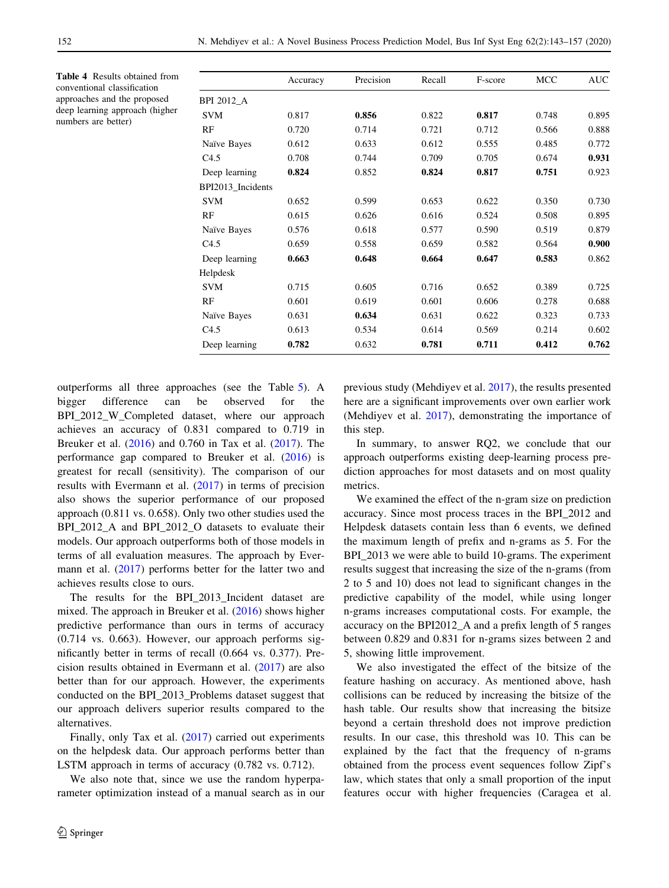<span id="page-9-0"></span>Table 4 Results obtained from conventional classification approaches and the proposed deep learning approach (higher numbers are better)

|                   | Accuracy | Precision | Recall | F-score | MCC   | <b>AUC</b> |
|-------------------|----------|-----------|--------|---------|-------|------------|
| BPI 2012_A        |          |           |        |         |       |            |
| <b>SVM</b>        | 0.817    | 0.856     | 0.822  | 0.817   | 0.748 | 0.895      |
| RF                | 0.720    | 0.714     | 0.721  | 0.712   | 0.566 | 0.888      |
| Naïve Bayes       | 0.612    | 0.633     | 0.612  | 0.555   | 0.485 | 0.772      |
| C4.5              | 0.708    | 0.744     | 0.709  | 0.705   | 0.674 | 0.931      |
| Deep learning     | 0.824    | 0.852     | 0.824  | 0.817   | 0.751 | 0.923      |
| BPI2013_Incidents |          |           |        |         |       |            |
| <b>SVM</b>        | 0.652    | 0.599     | 0.653  | 0.622   | 0.350 | 0.730      |
| RF                | 0.615    | 0.626     | 0.616  | 0.524   | 0.508 | 0.895      |
| Naïve Bayes       | 0.576    | 0.618     | 0.577  | 0.590   | 0.519 | 0.879      |
| C4.5              | 0.659    | 0.558     | 0.659  | 0.582   | 0.564 | 0.900      |
| Deep learning     | 0.663    | 0.648     | 0.664  | 0.647   | 0.583 | 0.862      |
| Helpdesk          |          |           |        |         |       |            |
| <b>SVM</b>        | 0.715    | 0.605     | 0.716  | 0.652   | 0.389 | 0.725      |
| RF                | 0.601    | 0.619     | 0.601  | 0.606   | 0.278 | 0.688      |
| Naïve Bayes       | 0.631    | 0.634     | 0.631  | 0.622   | 0.323 | 0.733      |
| C4.5              | 0.613    | 0.534     | 0.614  | 0.569   | 0.214 | 0.602      |
| Deep learning     | 0.782    | 0.632     | 0.781  | 0.711   | 0.412 | 0.762      |

outperforms all three approaches (see the Table [5](#page-10-0)). A bigger difference can be observed for the BPI\_2012\_W\_Completed dataset, where our approach achieves an accuracy of 0.831 compared to 0.719 in Breuker et al. ([2016\)](#page-12-0) and 0.760 in Tax et al. [\(2017](#page-14-0)). The performance gap compared to Breuker et al. ([2016\)](#page-12-0) is greatest for recall (sensitivity). The comparison of our results with Evermann et al. ([2017](#page-13-0)) in terms of precision also shows the superior performance of our proposed approach (0.811 vs. 0.658). Only two other studies used the BPI\_2012\_A and BPI\_2012\_O datasets to evaluate their models. Our approach outperforms both of those models in terms of all evaluation measures. The approach by Ever-mann et al. [\(2017](#page-13-0)) performs better for the latter two and achieves results close to ours.

The results for the BPI\_2013\_Incident dataset are mixed. The approach in Breuker et al. [\(2016](#page-12-0)) shows higher predictive performance than ours in terms of accuracy (0.714 vs. 0.663). However, our approach performs significantly better in terms of recall (0.664 vs. 0.377). Precision results obtained in Evermann et al. [\(2017](#page-13-0)) are also better than for our approach. However, the experiments conducted on the BPI\_2013\_Problems dataset suggest that our approach delivers superior results compared to the alternatives.

Finally, only Tax et al. [\(2017](#page-14-0)) carried out experiments on the helpdesk data. Our approach performs better than LSTM approach in terms of accuracy (0.782 vs. 0.712).

We also note that, since we use the random hyperparameter optimization instead of a manual search as in our previous study (Mehdiyev et al. [2017\)](#page-13-0), the results presented here are a significant improvements over own earlier work (Mehdiyev et al. [2017](#page-13-0)), demonstrating the importance of this step.

In summary, to answer RQ2, we conclude that our approach outperforms existing deep-learning process prediction approaches for most datasets and on most quality metrics.

We examined the effect of the n-gram size on prediction accuracy. Since most process traces in the BPI\_2012 and Helpdesk datasets contain less than 6 events, we defined the maximum length of prefix and n-grams as 5. For the BPI\_2013 we were able to build 10-grams. The experiment results suggest that increasing the size of the n-grams (from 2 to 5 and 10) does not lead to significant changes in the predictive capability of the model, while using longer n-grams increases computational costs. For example, the accuracy on the BPI2012\_A and a prefix length of 5 ranges between 0.829 and 0.831 for n-grams sizes between 2 and 5, showing little improvement.

We also investigated the effect of the bitsize of the feature hashing on accuracy. As mentioned above, hash collisions can be reduced by increasing the bitsize of the hash table. Our results show that increasing the bitsize beyond a certain threshold does not improve prediction results. In our case, this threshold was 10. This can be explained by the fact that the frequency of n-grams obtained from the process event sequences follow Zipf's law, which states that only a small proportion of the input features occur with higher frequencies (Caragea et al.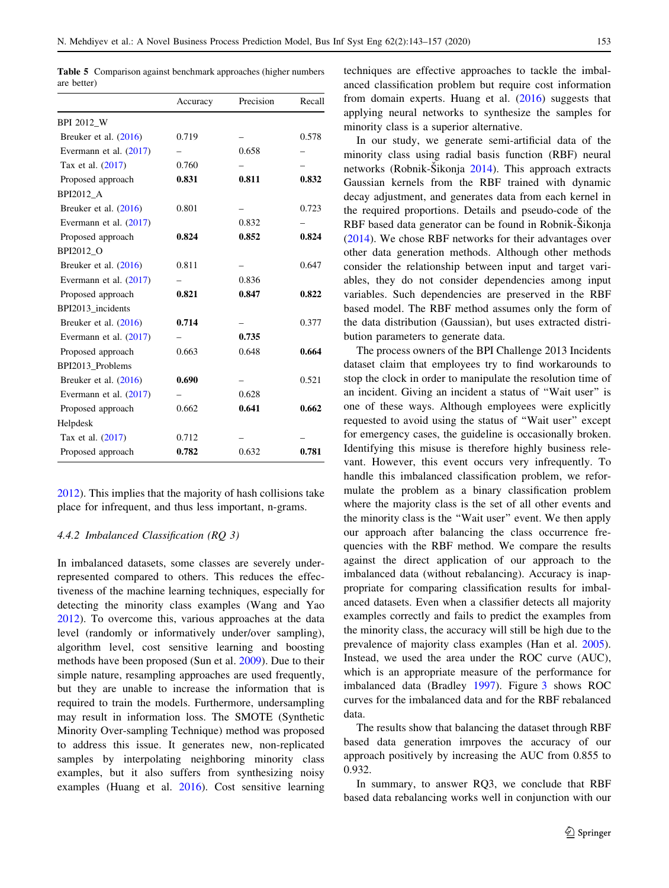<span id="page-10-0"></span>Table 5 Comparison against benchmark approaches (higher numbers are better)

|                          | Accuracy | Precision | Recall |
|--------------------------|----------|-----------|--------|
| BPI 2012_W               |          |           |        |
| Breuker et al. $(2016)$  | 0.719    |           | 0.578  |
| Evermann et al. (2017)   |          | 0.658     |        |
| Tax et al. (2017)        | 0.760    |           |        |
| Proposed approach        | 0.831    | 0.811     | 0.832  |
| BPI2012_A                |          |           |        |
| Breuker et al. $(2016)$  | 0.801    |           | 0.723  |
| Evermann et al. (2017)   |          | 0.832     |        |
| Proposed approach        | 0.824    | 0.852     | 0.824  |
| BPI2012 O                |          |           |        |
| Breuker et al. $(2016)$  | 0.811    |           | 0.647  |
| Evermann et al. $(2017)$ |          | 0.836     |        |
| Proposed approach        | 0.821    | 0.847     | 0.822  |
| BPI2013_incidents        |          |           |        |
| Breuker et al. (2016)    | 0.714    |           | 0.377  |
| Evermann et al. $(2017)$ |          | 0.735     |        |
| Proposed approach        | 0.663    | 0.648     | 0.664  |
| BPI2013_Problems         |          |           |        |
| Breuker et al. $(2016)$  | 0.690    |           | 0.521  |
| Evermann et al. $(2017)$ |          | 0.628     |        |
| Proposed approach        | 0.662    | 0.641     | 0.662  |
| Helpdesk                 |          |           |        |
| Tax et al. (2017)        | 0.712    |           |        |
| Proposed approach        | 0.782    | 0.632     | 0.781  |

[2012\)](#page-13-0). This implies that the majority of hash collisions take place for infrequent, and thus less important, n-grams.

## 4.4.2 Imbalanced Classification (RQ 3)

In imbalanced datasets, some classes are severely underrepresented compared to others. This reduces the effectiveness of the machine learning techniques, especially for detecting the minority class examples (Wang and Yao [2012\)](#page-14-0). To overcome this, various approaches at the data level (randomly or informatively under/over sampling), algorithm level, cost sensitive learning and boosting methods have been proposed (Sun et al. [2009\)](#page-13-0). Due to their simple nature, resampling approaches are used frequently, but they are unable to increase the information that is required to train the models. Furthermore, undersampling may result in information loss. The SMOTE (Synthetic Minority Over-sampling Technique) method was proposed to address this issue. It generates new, non-replicated samples by interpolating neighboring minority class examples, but it also suffers from synthesizing noisy examples (Huang et al. [2016](#page-13-0)). Cost sensitive learning

techniques are effective approaches to tackle the imbalanced classification problem but require cost information from domain experts. Huang et al. ([2016\)](#page-13-0) suggests that applying neural networks to synthesize the samples for minority class is a superior alternative.

In our study, we generate semi-artificial data of the minority class using radial basis function (RBF) neural networks (Robnik-Šikonia  $2014$ ). This approach extracts Gaussian kernels from the RBF trained with dynamic decay adjustment, and generates data from each kernel in the required proportions. Details and pseudo-code of the RBF based data generator can be found in Robnik-Sikonja [\(2014](#page-13-0)). We chose RBF networks for their advantages over other data generation methods. Although other methods consider the relationship between input and target variables, they do not consider dependencies among input variables. Such dependencies are preserved in the RBF based model. The RBF method assumes only the form of the data distribution (Gaussian), but uses extracted distribution parameters to generate data.

The process owners of the BPI Challenge 2013 Incidents dataset claim that employees try to find workarounds to stop the clock in order to manipulate the resolution time of an incident. Giving an incident a status of ''Wait user'' is one of these ways. Although employees were explicitly requested to avoid using the status of ''Wait user'' except for emergency cases, the guideline is occasionally broken. Identifying this misuse is therefore highly business relevant. However, this event occurs very infrequently. To handle this imbalanced classification problem, we reformulate the problem as a binary classification problem where the majority class is the set of all other events and the minority class is the ''Wait user'' event. We then apply our approach after balancing the class occurrence frequencies with the RBF method. We compare the results against the direct application of our approach to the imbalanced data (without rebalancing). Accuracy is inappropriate for comparing classification results for imbalanced datasets. Even when a classifier detects all majority examples correctly and fails to predict the examples from the minority class, the accuracy will still be high due to the prevalence of majority class examples (Han et al. [2005](#page-13-0)). Instead, we used the area under the ROC curve (AUC), which is an appropriate measure of the performance for imbalanced data (Bradley [1997](#page-12-0)). Figure [3](#page-11-0) shows ROC curves for the imbalanced data and for the RBF rebalanced data.

The results show that balancing the dataset through RBF based data generation imrpoves the accuracy of our approach positively by increasing the AUC from 0.855 to 0.932.

In summary, to answer RQ3, we conclude that RBF based data rebalancing works well in conjunction with our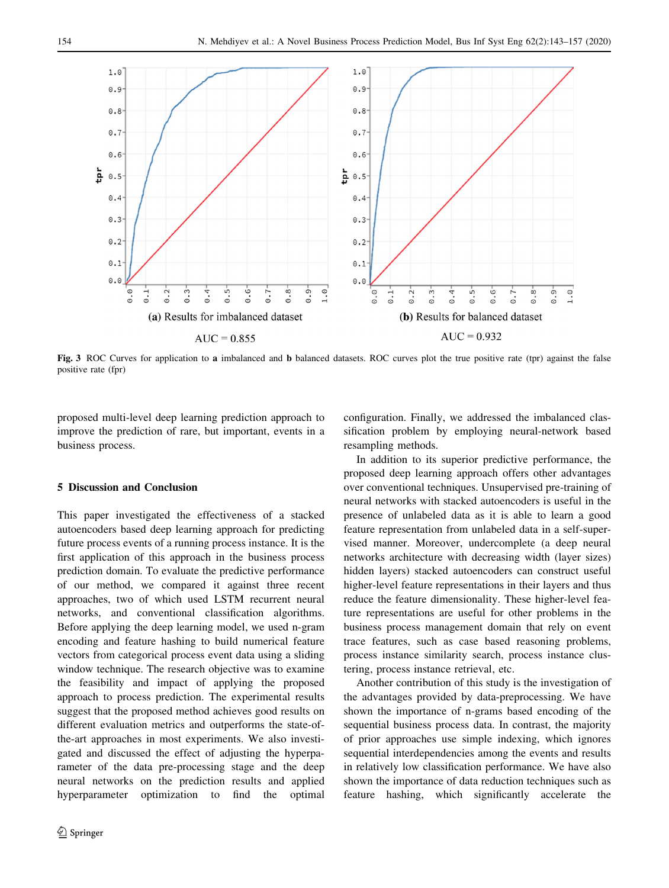<span id="page-11-0"></span>

Fig. 3 ROC Curves for application to a imbalanced and b balanced datasets. ROC curves plot the true positive rate (tpr) against the false positive rate (fpr)

proposed multi-level deep learning prediction approach to improve the prediction of rare, but important, events in a business process.

## 5 Discussion and Conclusion

This paper investigated the effectiveness of a stacked autoencoders based deep learning approach for predicting future process events of a running process instance. It is the first application of this approach in the business process prediction domain. To evaluate the predictive performance of our method, we compared it against three recent approaches, two of which used LSTM recurrent neural networks, and conventional classification algorithms. Before applying the deep learning model, we used n-gram encoding and feature hashing to build numerical feature vectors from categorical process event data using a sliding window technique. The research objective was to examine the feasibility and impact of applying the proposed approach to process prediction. The experimental results suggest that the proposed method achieves good results on different evaluation metrics and outperforms the state-ofthe-art approaches in most experiments. We also investigated and discussed the effect of adjusting the hyperparameter of the data pre-processing stage and the deep neural networks on the prediction results and applied hyperparameter optimization to find the optimal configuration. Finally, we addressed the imbalanced classification problem by employing neural-network based resampling methods.

In addition to its superior predictive performance, the proposed deep learning approach offers other advantages over conventional techniques. Unsupervised pre-training of neural networks with stacked autoencoders is useful in the presence of unlabeled data as it is able to learn a good feature representation from unlabeled data in a self-supervised manner. Moreover, undercomplete (a deep neural networks architecture with decreasing width (layer sizes) hidden layers) stacked autoencoders can construct useful higher-level feature representations in their layers and thus reduce the feature dimensionality. These higher-level feature representations are useful for other problems in the business process management domain that rely on event trace features, such as case based reasoning problems, process instance similarity search, process instance clustering, process instance retrieval, etc.

Another contribution of this study is the investigation of the advantages provided by data-preprocessing. We have shown the importance of n-grams based encoding of the sequential business process data. In contrast, the majority of prior approaches use simple indexing, which ignores sequential interdependencies among the events and results in relatively low classification performance. We have also shown the importance of data reduction techniques such as feature hashing, which significantly accelerate the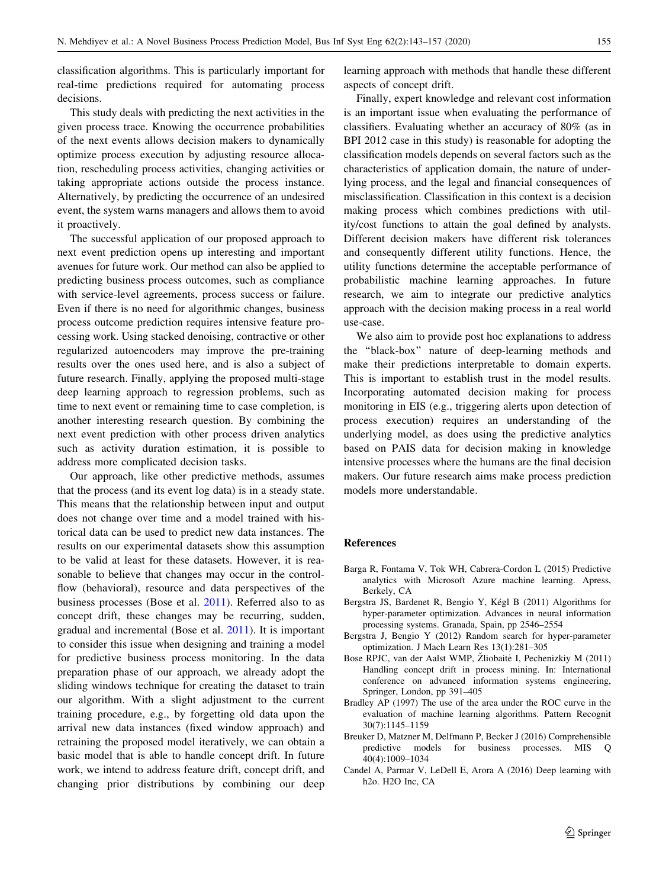<span id="page-12-0"></span>classification algorithms. This is particularly important for real-time predictions required for automating process decisions.

This study deals with predicting the next activities in the given process trace. Knowing the occurrence probabilities of the next events allows decision makers to dynamically optimize process execution by adjusting resource allocation, rescheduling process activities, changing activities or taking appropriate actions outside the process instance. Alternatively, by predicting the occurrence of an undesired event, the system warns managers and allows them to avoid it proactively.

The successful application of our proposed approach to next event prediction opens up interesting and important avenues for future work. Our method can also be applied to predicting business process outcomes, such as compliance with service-level agreements, process success or failure. Even if there is no need for algorithmic changes, business process outcome prediction requires intensive feature processing work. Using stacked denoising, contractive or other regularized autoencoders may improve the pre-training results over the ones used here, and is also a subject of future research. Finally, applying the proposed multi-stage deep learning approach to regression problems, such as time to next event or remaining time to case completion, is another interesting research question. By combining the next event prediction with other process driven analytics such as activity duration estimation, it is possible to address more complicated decision tasks.

Our approach, like other predictive methods, assumes that the process (and its event log data) is in a steady state. This means that the relationship between input and output does not change over time and a model trained with historical data can be used to predict new data instances. The results on our experimental datasets show this assumption to be valid at least for these datasets. However, it is reasonable to believe that changes may occur in the controlflow (behavioral), resource and data perspectives of the business processes (Bose et al. 2011). Referred also to as concept drift, these changes may be recurring, sudden, gradual and incremental (Bose et al. 2011). It is important to consider this issue when designing and training a model for predictive business process monitoring. In the data preparation phase of our approach, we already adopt the sliding windows technique for creating the dataset to train our algorithm. With a slight adjustment to the current training procedure, e.g., by forgetting old data upon the arrival new data instances (fixed window approach) and retraining the proposed model iteratively, we can obtain a basic model that is able to handle concept drift. In future work, we intend to address feature drift, concept drift, and changing prior distributions by combining our deep learning approach with methods that handle these different aspects of concept drift.

Finally, expert knowledge and relevant cost information is an important issue when evaluating the performance of classifiers. Evaluating whether an accuracy of 80% (as in BPI 2012 case in this study) is reasonable for adopting the classification models depends on several factors such as the characteristics of application domain, the nature of underlying process, and the legal and financial consequences of misclassification. Classification in this context is a decision making process which combines predictions with utility/cost functions to attain the goal defined by analysts. Different decision makers have different risk tolerances and consequently different utility functions. Hence, the utility functions determine the acceptable performance of probabilistic machine learning approaches. In future research, we aim to integrate our predictive analytics approach with the decision making process in a real world use-case.

We also aim to provide post hoc explanations to address the ''black-box'' nature of deep-learning methods and make their predictions interpretable to domain experts. This is important to establish trust in the model results. Incorporating automated decision making for process monitoring in EIS (e.g., triggering alerts upon detection of process execution) requires an understanding of the underlying model, as does using the predictive analytics based on PAIS data for decision making in knowledge intensive processes where the humans are the final decision makers. Our future research aims make process prediction models more understandable.

#### References

- Barga R, Fontama V, Tok WH, Cabrera-Cordon L (2015) Predictive analytics with Microsoft Azure machine learning. Apress, Berkely, CA
- Bergstra JS, Bardenet R, Bengio Y, Kégl B (2011) Algorithms for hyper-parameter optimization. Advances in neural information processing systems. Granada, Spain, pp 2546–2554
- Bergstra J, Bengio Y (2012) Random search for hyper-parameter optimization. J Mach Learn Res 13(1):281–305
- Bose RPJC, van der Aalst WMP, Zliobaite I, Pechenizkiy M (2011) Handling concept drift in process mining. In: International conference on advanced information systems engineering, Springer, London, pp 391–405
- Bradley AP (1997) The use of the area under the ROC curve in the evaluation of machine learning algorithms. Pattern Recognit 30(7):1145–1159
- Breuker D, Matzner M, Delfmann P, Becker J (2016) Comprehensible predictive models for business processes. MIS Q 40(4):1009–1034
- Candel A, Parmar V, LeDell E, Arora A (2016) Deep learning with h2o. H2O Inc, CA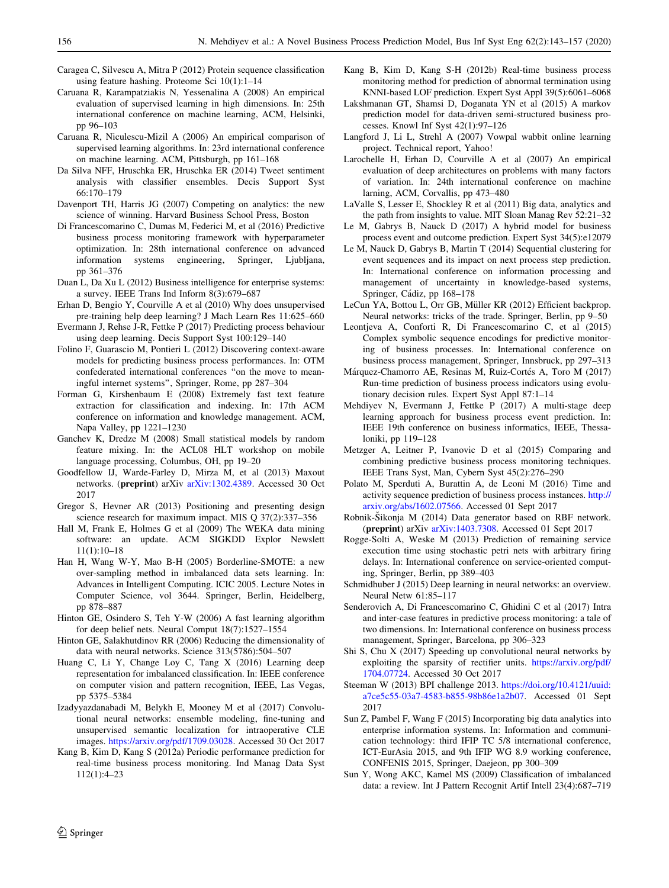- <span id="page-13-0"></span>Caragea C, Silvescu A, Mitra P (2012) Protein sequence classification using feature hashing. Proteome Sci 10(1):1–14
- Caruana R, Karampatziakis N, Yessenalina A (2008) An empirical evaluation of supervised learning in high dimensions. In: 25th international conference on machine learning, ACM, Helsinki, pp 96–103
- Caruana R, Niculescu-Mizil A (2006) An empirical comparison of supervised learning algorithms. In: 23rd international conference on machine learning. ACM, Pittsburgh, pp 161–168
- Da Silva NFF, Hruschka ER, Hruschka ER (2014) Tweet sentiment analysis with classifier ensembles. Decis Support Syst 66:170–179
- Davenport TH, Harris JG (2007) Competing on analytics: the new science of winning. Harvard Business School Press, Boston
- Di Francescomarino C, Dumas M, Federici M, et al (2016) Predictive business process monitoring framework with hyperparameter optimization. In: 28th international conference on advanced information systems engineering, Springer, Ljubljana, pp 361–376
- Duan L, Da Xu L (2012) Business intelligence for enterprise systems: a survey. IEEE Trans Ind Inform 8(3):679–687
- Erhan D, Bengio Y, Courville A et al (2010) Why does unsupervised pre-training help deep learning? J Mach Learn Res 11:625–660
- Evermann J, Rehse J-R, Fettke P (2017) Predicting process behaviour using deep learning. Decis Support Syst 100:129–140
- Folino F, Guarascio M, Pontieri L (2012) Discovering context-aware models for predicting business process performances. In: OTM confederated international conferences ''on the move to meaningful internet systems'', Springer, Rome, pp 287–304
- Forman G, Kirshenbaum E (2008) Extremely fast text feature extraction for classification and indexing. In: 17th ACM conference on information and knowledge management. ACM, Napa Valley, pp 1221–1230
- Ganchev K, Dredze M (2008) Small statistical models by random feature mixing. In: the ACL08 HLT workshop on mobile language processing, Columbus, OH, pp 19–20
- Goodfellow IJ, Warde-Farley D, Mirza M, et al (2013) Maxout networks. (preprint) arXiv [arXiv:1302.4389](http://arxiv.org/abs/1302.4389). Accessed 30 Oct 2017
- Gregor S, Hevner AR (2013) Positioning and presenting design science research for maximum impact. MIS Q 37(2):337–356
- Hall M, Frank E, Holmes G et al (2009) The WEKA data mining software: an update. ACM SIGKDD Explor Newslett 11(1):10–18
- Han H, Wang W-Y, Mao B-H (2005) Borderline-SMOTE: a new over-sampling method in imbalanced data sets learning. In: Advances in Intelligent Computing. ICIC 2005. Lecture Notes in Computer Science, vol 3644. Springer, Berlin, Heidelberg, pp 878–887
- Hinton GE, Osindero S, Teh Y-W (2006) A fast learning algorithm for deep belief nets. Neural Comput 18(7):1527–1554
- Hinton GE, Salakhutdinov RR (2006) Reducing the dimensionality of data with neural networks. Science 313(5786):504–507
- Huang C, Li Y, Change Loy C, Tang X (2016) Learning deep representation for imbalanced classification. In: IEEE conference on computer vision and pattern recognition, IEEE, Las Vegas, pp 5375–5384
- Izadyyazdanabadi M, Belykh E, Mooney M et al (2017) Convolutional neural networks: ensemble modeling, fine-tuning and unsupervised semantic localization for intraoperative CLE images. <https://arxiv.org/pdf/1709.03028>. Accessed 30 Oct 2017
- Kang B, Kim D, Kang S (2012a) Periodic performance prediction for real-time business process monitoring. Ind Manag Data Syst 112(1):4–23
- Kang B, Kim D, Kang S-H (2012b) Real-time business process monitoring method for prediction of abnormal termination using KNNI-based LOF prediction. Expert Syst Appl 39(5):6061–6068
- Lakshmanan GT, Shamsi D, Doganata YN et al (2015) A markov prediction model for data-driven semi-structured business processes. Knowl Inf Syst 42(1):97–126
- Langford J, Li L, Strehl A (2007) Vowpal wabbit online learning project. Technical report, Yahoo!
- Larochelle H, Erhan D, Courville A et al (2007) An empirical evaluation of deep architectures on problems with many factors of variation. In: 24th international conference on machine larning, ACM, Corvallis, pp 473–480
- LaValle S, Lesser E, Shockley R et al (2011) Big data, analytics and the path from insights to value. MIT Sloan Manag Rev 52:21–32
- Le M, Gabrys B, Nauck D (2017) A hybrid model for business process event and outcome prediction. Expert Syst 34(5):e12079
- Le M, Nauck D, Gabrys B, Martin T (2014) Sequential clustering for event sequences and its impact on next process step prediction. In: International conference on information processing and management of uncertainty in knowledge-based systems, Springer, Cádiz, pp 168-178
- LeCun YA, Bottou L, Orr GB, Müller KR (2012) Efficient backprop. Neural networks: tricks of the trade. Springer, Berlin, pp 9–50
- Leontjeva A, Conforti R, Di Francescomarino C, et al (2015) Complex symbolic sequence encodings for predictive monitoring of business processes. In: International conference on business process management, Springer, Innsbruck, pp 297–313
- Márquez-Chamorro AE, Resinas M, Ruiz-Cortés A, Toro M (2017) Run-time prediction of business process indicators using evolutionary decision rules. Expert Syst Appl 87:1–14
- Mehdiyev N, Evermann J, Fettke P (2017) A multi-stage deep learning approach for business process event prediction. In: IEEE 19th conference on business informatics, IEEE, Thessaloniki, pp 119–128
- Metzger A, Leitner P, Ivanovic D et al (2015) Comparing and combining predictive business process monitoring techniques. IEEE Trans Syst, Man, Cybern Syst 45(2):276–290
- Polato M, Sperduti A, Burattin A, de Leoni M (2016) Time and activity sequence prediction of business process instances. [http://](http://arxiv.org/abs/1602.07566) [arxiv.org/abs/1602.07566](http://arxiv.org/abs/1602.07566). Accessed 01 Sept 2017
- Robnik-Sikonja M (2014) Data generator based on RBF network. (preprint) arXiv [arXiv:1403.7308](http://arxiv.org/abs/1403.7308). Accessed 01 Sept 2017
- Rogge-Solti A, Weske M (2013) Prediction of remaining service execution time using stochastic petri nets with arbitrary firing delays. In: International conference on service-oriented computing, Springer, Berlin, pp 389–403
- Schmidhuber J (2015) Deep learning in neural networks: an overview. Neural Netw 61:85–117
- Senderovich A, Di Francescomarino C, Ghidini C et al (2017) Intra and inter-case features in predictive process monitoring: a tale of two dimensions. In: International conference on business process management, Springer, Barcelona, pp 306–323
- Shi S, Chu X (2017) Speeding up convolutional neural networks by exploiting the sparsity of rectifier units. [https://arxiv.org/pdf/](https://arxiv.org/pdf/1704.07724) [1704.07724](https://arxiv.org/pdf/1704.07724). Accessed 30 Oct 2017
- Steeman W (2013) BPI challenge 2013. [https://doi.org/10.4121/uuid:](https://doi.org/10.4121/uuid:a7ce5c55-03a7-4583-b855-98b86e1a2b07) [a7ce5c55-03a7-4583-b855-98b86e1a2b07.](https://doi.org/10.4121/uuid:a7ce5c55-03a7-4583-b855-98b86e1a2b07) Accessed 01 Sept 2017
- Sun Z, Pambel F, Wang F (2015) Incorporating big data analytics into enterprise information systems. In: Information and communication technology: third IFIP TC 5/8 international conference, ICT-EurAsia 2015, and 9th IFIP WG 8.9 working conference, CONFENIS 2015, Springer, Daejeon, pp 300–309
- Sun Y, Wong AKC, Kamel MS (2009) Classification of imbalanced data: a review. Int J Pattern Recognit Artif Intell 23(4):687–719